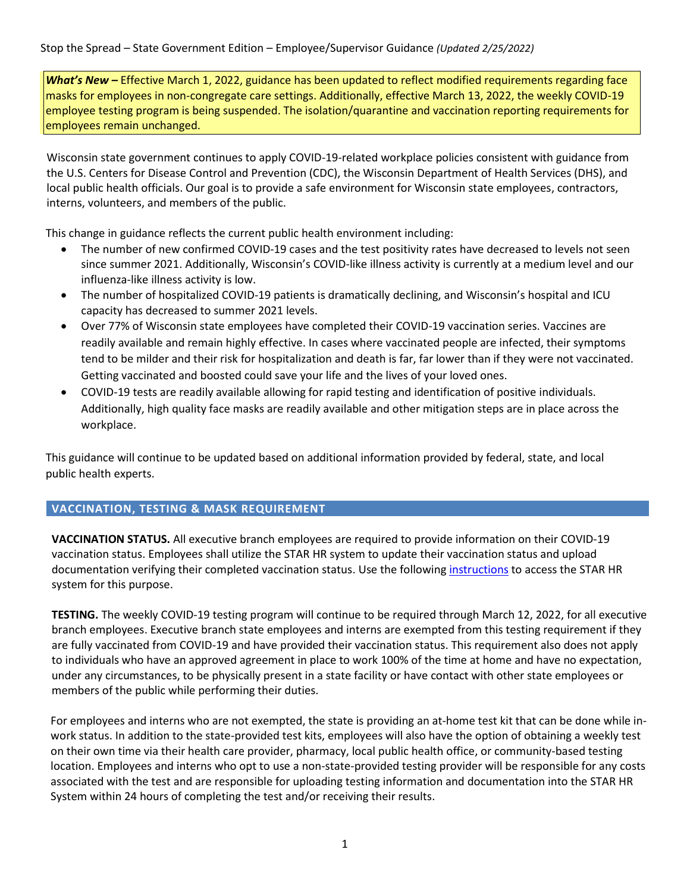*What's New –* Effective March 1, 2022, guidance has been updated to reflect modified requirements regarding face masks for employees in non-congregate care settings. Additionally, effective March 13, 2022, the weekly COVID-19 employee testing program is being suspended. The isolation/quarantine and vaccination reporting requirements for employees remain unchanged.

Wisconsin state government continues to apply COVID-19-related workplace policies consistent with guidance from the U.S. Centers for Disease Control and Prevention (CDC), the Wisconsin Department of Health Services (DHS), and local public health officials. Our goal is to provide a safe environment for Wisconsin state employees, contractors, interns, volunteers, and members of the public.

This change in guidance reflects the current public health environment including:

- The number of new confirmed COVID-19 cases and the test positivity rates have decreased to levels not seen since summer 2021. Additionally, Wisconsin's COVID-like illness activity is currently at a medium level and our influenza-like illness activity is low.
- The number of hospitalized COVID-19 patients is dramatically declining, and Wisconsin's hospital and ICU capacity has decreased to summer 2021 levels.
- Over 77% of Wisconsin state employees have completed their COVID-19 vaccination series. Vaccines are readily available and remain highly effective. In cases where vaccinated people are infected, their symptoms tend to be milder and their risk for hospitalization and death is far, far lower than if they were not vaccinated. Getting vaccinated and boosted could save your life and the lives of your loved ones.
- COVID-19 tests are readily available allowing for rapid testing and identification of positive individuals. Additionally, high quality face masks are readily available and other mitigation steps are in place across the workplace.

This guidance will continue to be updated based on additional information provided by federal, state, and local public health experts.

## **VACCINATION, TESTING & MASK REQUIREMENT**

**VACCINATION STATUS.** All executive branch employees are required to provide information on their COVID-19 vaccination status. Employees shall utilize the STAR HR system to update their vaccination status and upload documentation verifying their completed vaccination status. Use the followin[g instructions](https://dpm.wi.gov/Documents/JobAids/SelfService/ESS/COVID_ESS_JobAid.pdf) to access the STAR HR system for this purpose.

**TESTING.** The weekly COVID-19 testing program will continue to be required through March 12, 2022, for all executive branch employees. Executive branch state employees and interns are exempted from this testing requirement if they are fully vaccinated from COVID-19 and have provided their vaccination status. This requirement also does not apply to individuals who have an approved agreement in place to work 100% of the time at home and have no expectation, under any circumstances, to be physically present in a state facility or have contact with other state employees or members of the public while performing their duties.

For employees and interns who are not exempted, the state is providing an at-home test kit that can be done while inwork status. In addition to the state-provided test kits, employees will also have the option of obtaining a weekly test on their own time via their health care provider, pharmacy, local public health office, or community-based testing location. Employees and interns who opt to use a non-state-provided testing provider will be responsible for any costs associated with the test and are responsible for uploading testing information and documentation into the STAR HR System within 24 hours of completing the test and/or receiving their results.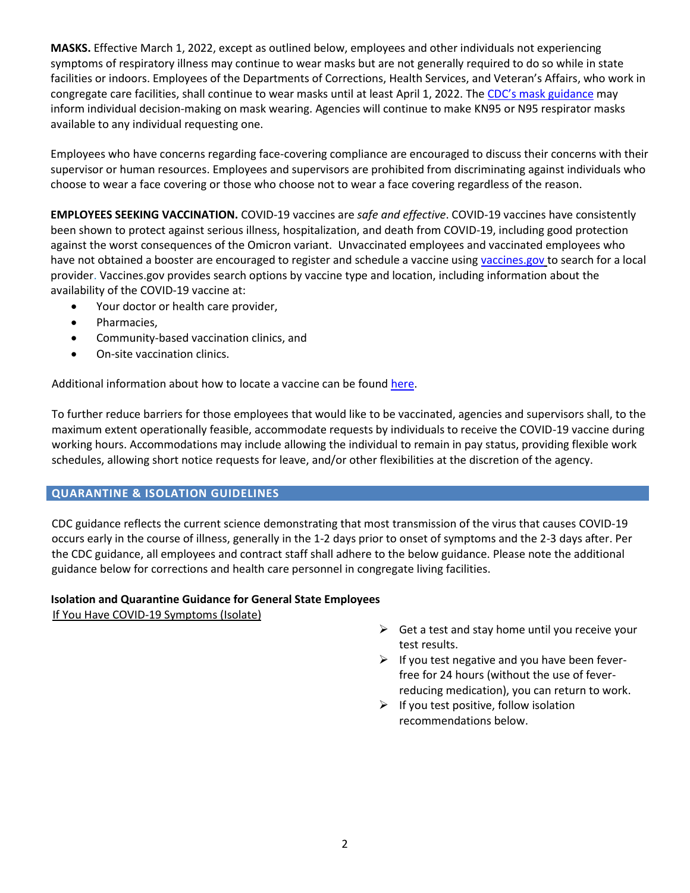**MASKS.** Effective March 1, 2022, except as outlined below, employees and other individuals not experiencing symptoms of respiratory illness may continue to wear masks but are not generally required to do so while in state facilities or indoors. Employees of the Departments of Corrections, Health Services, and Veteran's Affairs, who work in congregate care facilities, shall continue to wear masks until at least April 1, 2022. The [CDC's mask guidance](https://www.cdc.gov/coronavirus/2019-ncov/prevent-getting-sick/about-face-coverings.html) may inform individual decision-making on mask wearing. Agencies will continue to make KN95 or N95 respirator masks available to any individual requesting one.

Employees who have concerns regarding face-covering compliance are encouraged to discuss their concerns with their supervisor or human resources. Employees and supervisors are prohibited from discriminating against individuals who choose to wear a face covering or those who choose not to wear a face covering regardless of the reason.

**EMPLOYEES SEEKING VACCINATION.** COVID-19 vaccines are *safe and effective*. COVID-19 vaccines have consistently been shown to protect against serious illness, hospitalization, and death from COVID-19, including good protection against the worst consequences of the Omicron variant. Unvaccinated employees and vaccinated employees who have not obtained a booster are encouraged to register and schedule a vaccine using vaccines.gov to search for a local provider. Vaccines.gov provides search options by vaccine type and location, including information about the availability of the COVID-19 vaccine at:

- Your doctor or health care provider,
- Pharmacies,
- Community-based vaccination clinics, and
- On-site vaccination clinics.

Additional information about how to locate a vaccine can be found [here.](https://www.dhs.wisconsin.gov/covid-19/vaccine-get.htm)

To further reduce barriers for those employees that would like to be vaccinated, agencies and supervisors shall, to the maximum extent operationally feasible, accommodate requests by individuals to receive the COVID-19 vaccine during working hours. Accommodations may include allowing the individual to remain in pay status, providing flexible work schedules, allowing short notice requests for leave, and/or other flexibilities at the discretion of the agency.

## **QUARANTINE & ISOLATION GUIDELINES**

CDC guidance reflects the current science demonstrating that most transmission of the virus that causes COVID-19 occurs early in the course of illness, generally in the 1-2 days prior to onset of symptoms and the 2-3 days after. Per the CDC guidance, all employees and contract staff shall adhere to the below guidance. Please note the additional guidance below for corrections and health care personnel in congregate living facilities.

## **Isolation and Quarantine Guidance for General State Employees**

If You Have COVID-19 Symptoms (Isolate)

- $\triangleright$  Get a test and stay home until you receive your test results.
- $\triangleright$  If you test negative and you have been feverfree for 24 hours (without the use of feverreducing medication), you can return to work.
- $\triangleright$  If you test positive, follow isolation recommendations below.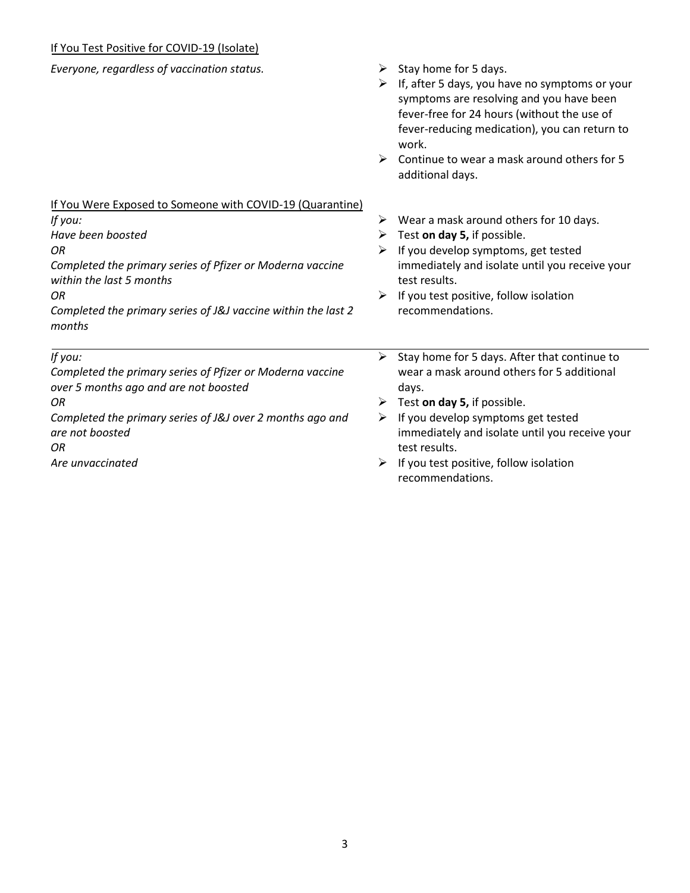# If You Test Positive for COVID-19 (Isolate)

| Everyone, regardless of vaccination status.                                                        | ➤<br>➤<br>$\blacktriangleright$ | Stay home for 5 days.<br>If, after 5 days, you have no symptoms or your<br>symptoms are resolving and you have been<br>fever-free for 24 hours (without the use of<br>fever-reducing medication), you can return to<br>work.<br>Continue to wear a mask around others for 5<br>additional days. |
|----------------------------------------------------------------------------------------------------|---------------------------------|-------------------------------------------------------------------------------------------------------------------------------------------------------------------------------------------------------------------------------------------------------------------------------------------------|
| If You Were Exposed to Someone with COVID-19 (Quarantine)                                          |                                 |                                                                                                                                                                                                                                                                                                 |
| If you:                                                                                            | ➤                               | Wear a mask around others for 10 days.                                                                                                                                                                                                                                                          |
| Have been boosted                                                                                  | ➤                               | Test on day 5, if possible.                                                                                                                                                                                                                                                                     |
| OR<br>Completed the primary series of Pfizer or Moderna vaccine<br>within the last 5 months        | ≻                               | If you develop symptoms, get tested<br>immediately and isolate until you receive your<br>test results.                                                                                                                                                                                          |
| OR                                                                                                 | ➤                               | If you test positive, follow isolation                                                                                                                                                                                                                                                          |
| Completed the primary series of J&J vaccine within the last 2<br>months                            |                                 | recommendations.                                                                                                                                                                                                                                                                                |
| If you:                                                                                            | ➤                               | Stay home for 5 days. After that continue to                                                                                                                                                                                                                                                    |
| Completed the primary series of Pfizer or Moderna vaccine<br>over 5 months ago and are not boosted |                                 | wear a mask around others for 5 additional<br>days.                                                                                                                                                                                                                                             |
| ΟR                                                                                                 | ➤                               | Test on day 5, if possible.                                                                                                                                                                                                                                                                     |
| Completed the primary series of J&J over 2 months ago and<br>are not boosted<br>ΩR                 | ➤                               | If you develop symptoms get tested<br>immediately and isolate until you receive your<br>test results.                                                                                                                                                                                           |
| Are unvaccinated                                                                                   |                                 | If you test positive, follow isolation<br>recommendations.                                                                                                                                                                                                                                      |